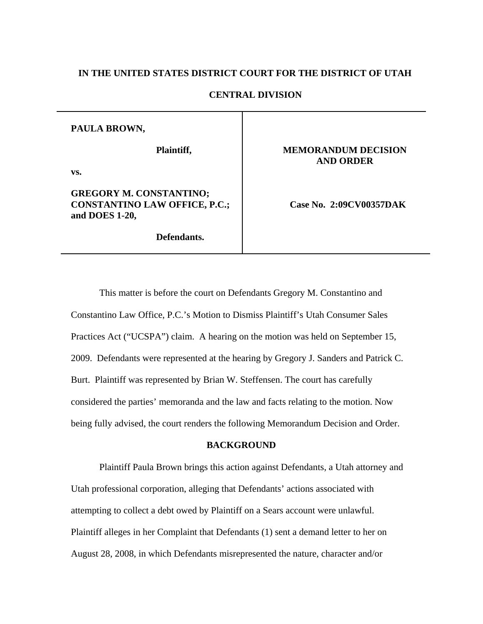### **IN THE UNITED STATES DISTRICT COURT FOR THE DISTRICT OF UTAH**

### **CENTRAL DIVISION**

#### **PAULA BROWN,**

**Plaintiff,** 

**vs.** 

## **GREGORY M. CONSTANTINO; CONSTANTINO LAW OFFICE, P.C.; and DOES 1-20,**

**Defendants.** 

### **MEMORANDUM DECISION AND ORDER**

 **Case No. 2:09CV00357DAK** 

This matter is before the court on Defendants Gregory M. Constantino and Constantino Law Office, P.C.'s Motion to Dismiss Plaintiff's Utah Consumer Sales Practices Act ("UCSPA") claim. A hearing on the motion was held on September 15, 2009. Defendants were represented at the hearing by Gregory J. Sanders and Patrick C. Burt. Plaintiff was represented by Brian W. Steffensen. The court has carefully considered the parties' memoranda and the law and facts relating to the motion. Now being fully advised, the court renders the following Memorandum Decision and Order.

### **BACKGROUND**

Plaintiff Paula Brown brings this action against Defendants, a Utah attorney and Utah professional corporation, alleging that Defendants' actions associated with attempting to collect a debt owed by Plaintiff on a Sears account were unlawful. Plaintiff alleges in her Complaint that Defendants (1) sent a demand letter to her on August 28, 2008, in which Defendants misrepresented the nature, character and/or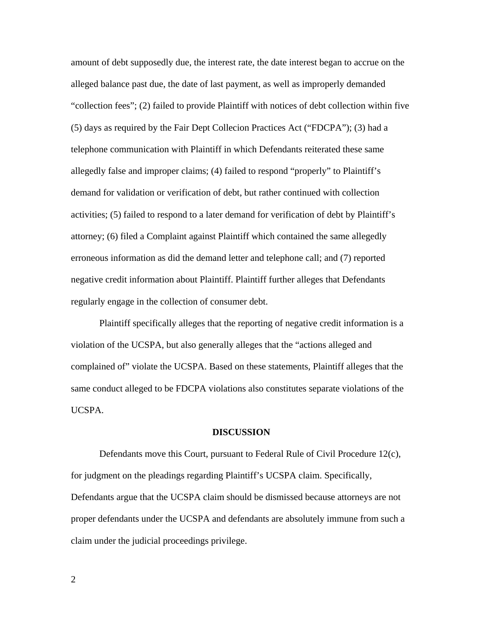amount of debt supposedly due, the interest rate, the date interest began to accrue on the alleged balance past due, the date of last payment, as well as improperly demanded "collection fees"; (2) failed to provide Plaintiff with notices of debt collection within five (5) days as required by the Fair Dept Collecion Practices Act ("FDCPA"); (3) had a telephone communication with Plaintiff in which Defendants reiterated these same allegedly false and improper claims; (4) failed to respond "properly" to Plaintiff's demand for validation or verification of debt, but rather continued with collection activities; (5) failed to respond to a later demand for verification of debt by Plaintiff's attorney; (6) filed a Complaint against Plaintiff which contained the same allegedly erroneous information as did the demand letter and telephone call; and (7) reported negative credit information about Plaintiff. Plaintiff further alleges that Defendants regularly engage in the collection of consumer debt.

Plaintiff specifically alleges that the reporting of negative credit information is a violation of the UCSPA, but also generally alleges that the "actions alleged and complained of" violate the UCSPA. Based on these statements, Plaintiff alleges that the same conduct alleged to be FDCPA violations also constitutes separate violations of the UCSPA.

#### **DISCUSSION**

Defendants move this Court, pursuant to Federal Rule of Civil Procedure 12(c), for judgment on the pleadings regarding Plaintiff's UCSPA claim. Specifically, Defendants argue that the UCSPA claim should be dismissed because attorneys are not proper defendants under the UCSPA and defendants are absolutely immune from such a claim under the judicial proceedings privilege.

2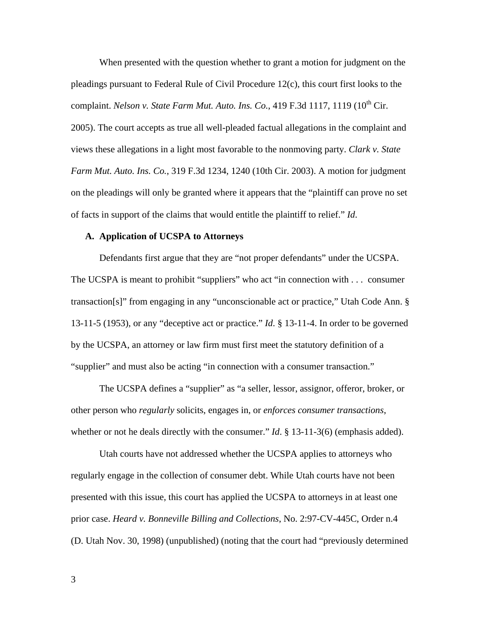When presented with the question whether to grant a motion for judgment on the pleadings pursuant to Federal Rule of Civil Procedure 12(c), this court first looks to the complaint. *Nelson v. State Farm Mut. Auto. Ins. Co.*, 419 F.3d 1117, 1119 (10<sup>th</sup> Cir.

2005). The court accepts as true all well-pleaded factual allegations in the complaint and views these allegations in a light most favorable to the nonmoving party. *[Clark v. State](http://web2.westlaw.com/find/default.wl?tf=-1&rs=WLW9.09&referencepositiontype=S&serialnum=2003154357&fn=_top&sv=Split&referenceposition=1240&pbc=F3026552&tc=-1&ordoc=2007143945&findtype=Y&db=506&vr=2.0&rp=%2ffind%2fdefault.wl&mt=104)  Farm Mut. Auto. Ins. Co.*[, 319 F.3d 1234, 1240 \(10th Cir. 2003\).](http://web2.westlaw.com/find/default.wl?tf=-1&rs=WLW9.09&referencepositiontype=S&serialnum=2003154357&fn=_top&sv=Split&referenceposition=1240&pbc=F3026552&tc=-1&ordoc=2007143945&findtype=Y&db=506&vr=2.0&rp=%2ffind%2fdefault.wl&mt=104) A motion for judgment on the pleadings will only be granted where it appears that the "plaintiff can prove no set of facts in support of the claims that would entitle the plaintiff to relief." *Id*.

#### **A. Application of UCSPA to Attorneys**

Defendants first argue that they are "not proper defendants" under the UCSPA. The UCSPA is meant to prohibit "suppliers" who act "in connection with . . . consumer transaction[s]" from engaging in any "unconscionable act or practice," Utah Code Ann. § 13-11-5 (1953), or any "deceptive act or practice." *Id*. § 13-11-4. In order to be governed by the UCSPA, an attorney or law firm must first meet the statutory definition of a "supplier" and must also be acting "in connection with a consumer transaction."

The UCSPA defines a "supplier" as "a seller, lessor, assignor, offeror, broker, or other person who *regularly* solicits, engages in, or *enforces consumer transactions*, whether or not he deals directly with the consumer." *Id*. § 13-11-3(6) (emphasis added).

Utah courts have not addressed whether the UCSPA applies to attorneys who regularly engage in the collection of consumer debt. While Utah courts have not been presented with this issue, this court has applied the UCSPA to attorneys in at least one prior case. *Heard v. Bonneville Billing and Collections*, No. 2:97-CV-445C, Order n.4 (D. Utah Nov. 30, 1998) (unpublished) (noting that the court had "previously determined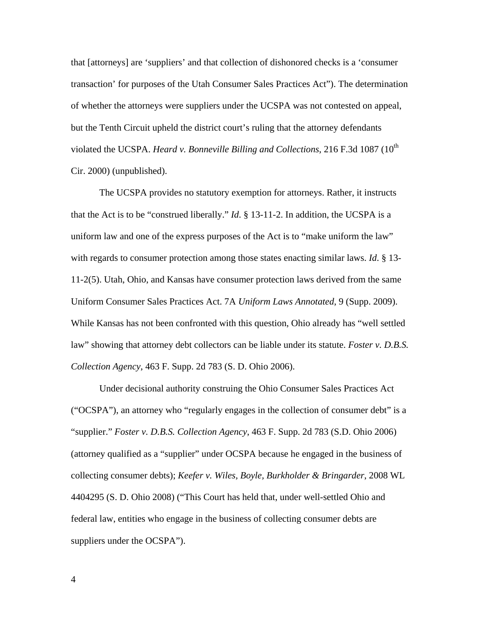that [attorneys] are 'suppliers' and that collection of dishonored checks is a 'consumer transaction' for purposes of the Utah Consumer Sales Practices Act"). The determination of whether the attorneys were suppliers under the UCSPA was not contested on appeal, but the Tenth Circuit upheld the district court's ruling that the attorney defendants violated the UCSPA. *Heard v. Bonneville Billing and Collections*, 216 F.3d 1087 (10<sup>th</sup>) Cir. 2000) (unpublished).

 The UCSPA provides no statutory exemption for attorneys. Rather, it instructs that the Act is to be "construed liberally." *Id*. § 13-11-2. In addition, the UCSPA is a uniform law and one of the express purposes of the Act is to "make uniform the law" with regards to consumer protection among those states enacting similar laws. *Id*. § 13- 11-2(5). Utah, Ohio, and Kansas have consumer protection laws derived from the same Uniform Consumer Sales Practices Act. 7A *Uniform Laws Annotated*, 9 (Supp. 2009). While Kansas has not been confronted with this question, Ohio already has "well settled law" showing that attorney debt collectors can be liable under its statute. *Foster v. D.B.S. Collection Agency*, 463 F. Supp. 2d 783 (S. D. Ohio 2006).

Under decisional authority construing the Ohio Consumer Sales Practices Act ("OCSPA"), an attorney who "regularly engages in the collection of consumer debt" is a "supplier." *Foster v. D.B.S. Collection Agency*, 463 F. Supp. 2d 783 (S.D. Ohio 2006) (attorney qualified as a "supplier" under OCSPA because he engaged in the business of collecting consumer debts); *Keefer v. Wiles, Boyle, Burkholder & Bringarder*, 2008 WL 4404295 (S. D. Ohio 2008) ("This Court has held that, under well-settled Ohio and federal law, entities who engage in the business of collecting consumer debts are suppliers under the OCSPA").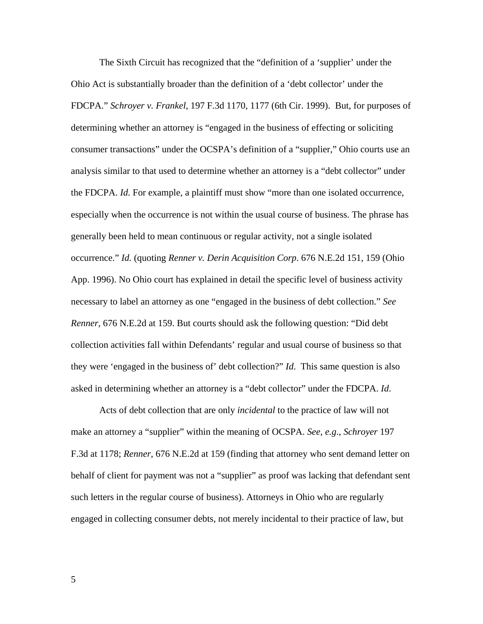The Sixth Circuit has recognized that the "definition of a 'supplier' under the Ohio Act is substantially broader than the definition of a 'debt collector' under the FDCPA." *Schroyer v. Frankel*[, 197 F.3d 1170, 1177 \(6th Cir. 1999\).](http://web2.westlaw.com/find/default.wl?tf=-1&serialnum=1999264666&rs=WLW9.08&referencepositiontype=S&ifm=NotSet&fn=_top&sv=Split&referenceposition=1177&pbc=A697DBFB&tc=-1&ordoc=2010797708&findtype=Y&db=506&vr=2.0&rp=%2ffind%2fdefault.wl&mt=104) But, for purposes of determining whether an attorney is "engaged in the business of effecting or soliciting consumer transactions" under the OCSPA's definition of a "supplier," Ohio courts use an analysis similar to that used to determine whether an attorney is a "debt collector" under the FDCPA. *Id.* For example, a plaintiff must show "more than one isolated occurrence, especially when the occurrence is not within the usual course of business. The phrase has generally been held to mean continuous or regular activity, not a single isolated occurrence." *Id.* (quoting *Renner v. Derin Acquisition Corp*. 676 N.E.2d 151, 159 (Ohio App. 1996). No Ohio court has explained in detail the specific level of business activity necessary to label an attorney as one "engaged in the business of debt collection." *See Renner*, 676 N.E.2d at 159. But courts should ask the following question: "Did debt collection activities fall within Defendants' regular and usual course of business so that they were 'engaged in the business of' debt collection?" *Id*. This same question is also asked in determining whether an attorney is a "debt collector" under the FDCPA. *Id*.

Acts of debt collection that are only *incidental* to the practice of law will not make an attorney a "supplier" within the meaning of OCSPA. *See*, *e.g*., *Schroyer* 197 F.3d at 1178; *Renner*, 676 N.E.2d at 159 (finding that attorney who sent demand letter on behalf of client for payment was not a "supplier" as proof was lacking that defendant sent such letters in the regular course of business). Attorneys in Ohio who are regularly engaged in collecting consumer debts, not merely incidental to their practice of law, but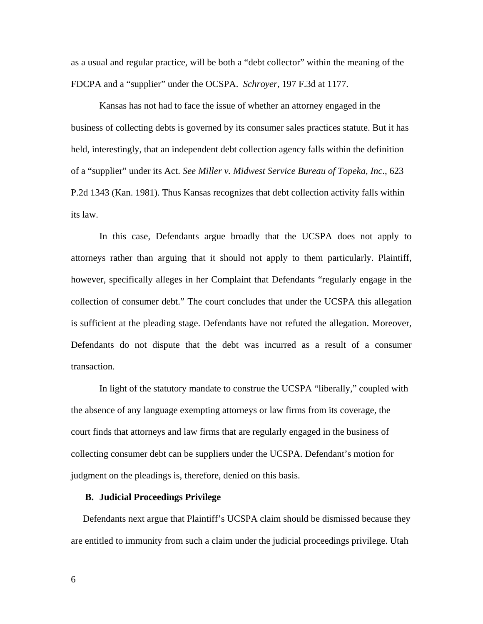as a usual and regular practice, will be both a "debt collector" within the meaning of the FDCPA and a "supplier" under the OCSPA. *Schroyer*, 197 F.3d at 1177.

 Kansas has not had to face the issue of whether an attorney engaged in the business of collecting debts is governed by its consumer sales practices statute. But it has held, interestingly, that an independent debt collection agency falls within the definition of a "supplier" under its Act. *See Miller v. Midwest Service Bureau of Topeka, Inc*., 623 P.2d 1343 (Kan. 1981). Thus Kansas recognizes that debt collection activity falls within its law.

In this case, Defendants argue broadly that the UCSPA does not apply to attorneys rather than arguing that it should not apply to them particularly. Plaintiff, however, specifically alleges in her Complaint that Defendants "regularly engage in the collection of consumer debt." The court concludes that under the UCSPA this allegation is sufficient at the pleading stage. Defendants have not refuted the allegation. Moreover, Defendants do not dispute that the debt was incurred as a result of a consumer transaction.

In light of the statutory mandate to construe the UCSPA "liberally," coupled with the absence of any language exempting attorneys or law firms from its coverage, the court finds that attorneys and law firms that are regularly engaged in the business of collecting consumer debt can be suppliers under the UCSPA. Defendant's motion for judgment on the pleadings is, therefore, denied on this basis.

## **B. Judicial Proceedings Privilege**

Defendants next argue that Plaintiff's UCSPA claim should be dismissed because they are entitled to immunity from such a claim under the judicial proceedings privilege. Utah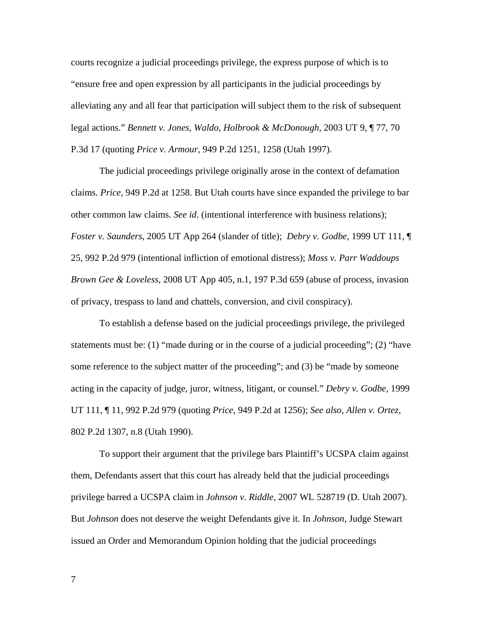courts recognize a judicial proceedings privilege, the express purpose of which is to "ensure free and open expression by all participants in the judicial proceedings by alleviating any and all fear that participation will subject them to the risk of subsequent legal actions." *Bennett v. Jones*, *Waldo, Holbrook & McDonough*, 2003 UT 9, ¶ 77, 70 P.3d 17 (quoting *Price v. Armour*, 949 P.2d 1251, 1258 (Utah 1997).

The judicial proceedings privilege originally arose in the context of defamation claims. *Price*, 949 P.2d at 1258. But Utah courts have since expanded the privilege to bar other common law claims. *See id*. (intentional interference with business relations); *Foster v. Saunders*, 2005 UT App 264 (slander of title); *Debry v. Godbe*, 1999 UT 111, ¶ 25, 992 P.2d 979 (intentional infliction of emotional distress); *Moss v. Parr Waddoups Brown Gee & Loveless*, 2008 UT App 405, n.1, 197 P.3d 659 (abuse of process, invasion of privacy, trespass to land and chattels, conversion, and civil conspiracy).

To establish a defense based on the judicial proceedings privilege, the privileged statements must be:  $(1)$  "made during or in the course of a judicial proceeding";  $(2)$  "have some reference to the subject matter of the proceeding"; and (3) be "made by someone acting in the capacity of judge, juror, witness, litigant, or counsel." *Debry v. Godbe*, 1999 UT 111, ¶ 11, 992 P.2d 979 (quoting *Price*, 949 P.2d at 1256); *See also*, *Allen v. Ortez*, 802 P.2d 1307, n.8 (Utah 1990).

To support their argument that the privilege bars Plaintiff's UCSPA claim against them, Defendants assert that this court has already held that the judicial proceedings privilege barred a UCSPA claim in *Johnson v. Riddle*, 2007 WL 528719 (D. Utah 2007). But *Johnson* does not deserve the weight Defendants give it. In *Johnson*, Judge Stewart issued an Order and Memorandum Opinion holding that the judicial proceedings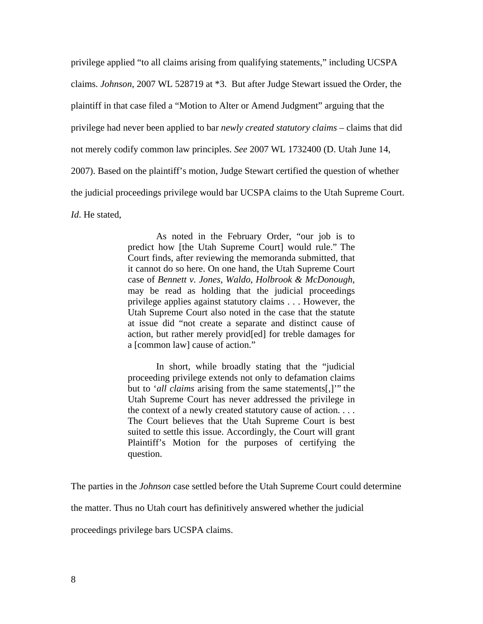privilege applied "to all claims arising from qualifying statements," including UCSPA claims. *Johnson*, 2007 WL 528719 at \*3. But after Judge Stewart issued the Order, the plaintiff in that case filed a "Motion to Alter or Amend Judgment" arguing that the privilege had never been applied to bar *newly created statutory claims* – claims that did not merely codify common law principles. *See* 2007 WL 1732400 (D. Utah June 14, 2007). Based on the plaintiff's motion, Judge Stewart certified the question of whether the judicial proceedings privilege would bar UCSPA claims to the Utah Supreme Court. *Id*. He stated,

> As noted in the February Order, "our job is to predict how [the Utah Supreme Court] would rule." The Court finds, after reviewing the memoranda submitted, that it cannot do so here. On one hand, the Utah Supreme Court case of *Bennett v. Jones, Waldo, Holbrook & McDonough*, may be read as holding that the judicial proceedings privilege applies against statutory claims . . . However, the Utah Supreme Court also noted in the case that the statute at issue did "not create a separate and distinct cause of action, but rather merely provid[ed] for treble damages for a [common law] cause of action."

> In short, while broadly stating that the "judicial proceeding privilege extends not only to defamation claims but to '*all claims* arising from the same statements[,]'" the Utah Supreme Court has never addressed the privilege in the context of a newly created statutory cause of action. . . . The Court believes that the Utah Supreme Court is best suited to settle this issue. Accordingly, the Court will grant Plaintiff's Motion for the purposes of certifying the question.

The parties in the *Johnson* case settled before the Utah Supreme Court could determine the matter. Thus no Utah court has definitively answered whether the judicial

proceedings privilege bars UCSPA claims.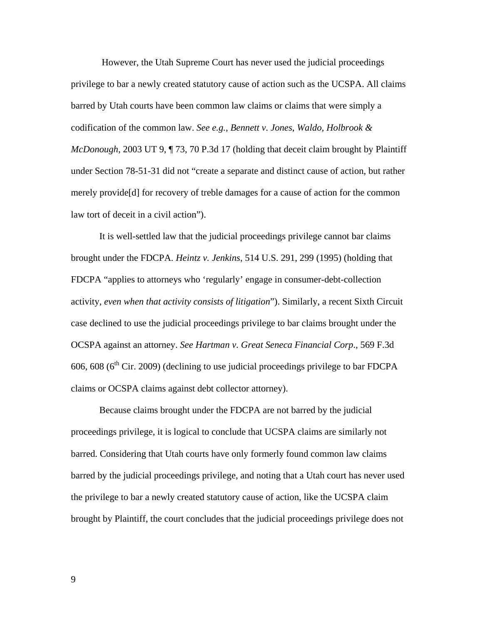However, the Utah Supreme Court has never used the judicial proceedings privilege to bar a newly created statutory cause of action such as the UCSPA. All claims barred by Utah courts have been common law claims or claims that were simply a codification of the common law. *See e.g.*, *Bennett v. Jones*, *Waldo, Holbrook & McDonough*, 2003 UT 9, ¶ 73, 70 P.3d 17 (holding that deceit claim brought by Plaintiff under [Section 78-51-31](http://web2.westlaw.com/find/default.wl?tf=-1&rs=WLW9.09&fn=_top&sv=Split&docname=UTSTS78-51-31&tc=-1&pbc=26E9AEA4&ordoc=2003256695&findtype=L&db=1000511&vr=2.0&rp=%2ffind%2fdefault.wl&mt=104) did not "create a separate and distinct cause of action, but rather merely provide[d] for recovery of treble damages for a cause of action for the common law tort of deceit in a civil action").

It is well-settled law that the judicial proceedings privilege cannot bar claims brought under the FDCPA. *Heintz v. Jenkins*, 514 U.S. 291, 299 (1995) (holding that FDCPA "applies to attorneys who 'regularly' engage in consumer-debt-collection activity, *even when that activity consists of litigation*"). Similarly, a recent Sixth Circuit case declined to use the judicial proceedings privilege to bar claims brought under the OCSPA against an attorney. *See Hartman v. Great Seneca Financial Corp*., 569 F.3d  $606$ ,  $608$  ( $6<sup>th</sup>$  Cir. 2009) (declining to use judicial proceedings privilege to bar FDCPA claims or OCSPA claims against debt collector attorney).

Because claims brought under the FDCPA are not barred by the judicial proceedings privilege, it is logical to conclude that UCSPA claims are similarly not barred. Considering that Utah courts have only formerly found common law claims barred by the judicial proceedings privilege, and noting that a Utah court has never used the privilege to bar a newly created statutory cause of action, like the UCSPA claim brought by Plaintiff, the court concludes that the judicial proceedings privilege does not